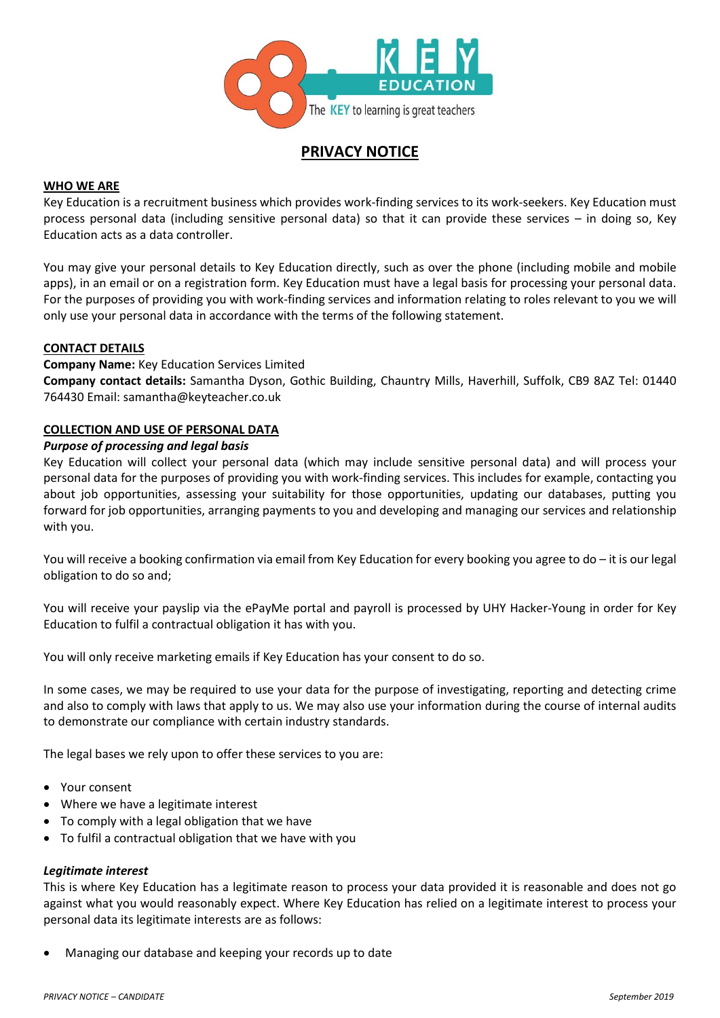

# **PRIVACY NOTICE**

# **WHO WE ARE**

Key Education is a recruitment business which provides work-finding services to its work-seekers. Key Education must process personal data (including sensitive personal data) so that it can provide these services – in doing so, Key Education acts as a data controller.

You may give your personal details to Key Education directly, such as over the phone (including mobile and mobile apps), in an email or on a registration form. Key Education must have a legal basis for processing your personal data. For the purposes of providing you with work-finding services and information relating to roles relevant to you we will only use your personal data in accordance with the terms of the following statement.

### **CONTACT DETAILS**

**Company Name:** Key Education Services Limited

**Company contact details:** Samantha Dyson, Gothic Building, Chauntry Mills, Haverhill, Suffolk, CB9 8AZ Tel: 01440 764430 Email: samantha@keyteacher.co.uk

# **COLLECTION AND USE OF PERSONAL DATA**

### *Purpose of processing and legal basis*

Key Education will collect your personal data (which may include sensitive personal data) and will process your personal data for the purposes of providing you with work-finding services. This includes for example, contacting you about job opportunities, assessing your suitability for those opportunities, updating our databases, putting you forward for job opportunities, arranging payments to you and developing and managing our services and relationship with you.

You will receive a booking confirmation via email from Key Education for every booking you agree to do – it is our legal obligation to do so and;

You will receive your payslip via the ePayMe portal and payroll is processed by UHY Hacker-Young in order for Key Education to fulfil a contractual obligation it has with you.

You will only receive marketing emails if Key Education has your consent to do so.

In some cases, we may be required to use your data for the purpose of investigating, reporting and detecting crime and also to comply with laws that apply to us. We may also use your information during the course of internal audits to demonstrate our compliance with certain industry standards.

The legal bases we rely upon to offer these services to you are:

- Your consent
- Where we have a legitimate interest
- To comply with a legal obligation that we have
- To fulfil a contractual obligation that we have with you

### *Legitimate interest*

This is where Key Education has a legitimate reason to process your data provided it is reasonable and does not go against what you would reasonably expect. Where Key Education has relied on a legitimate interest to process your personal data its legitimate interests are as follows:

• Managing our database and keeping your records up to date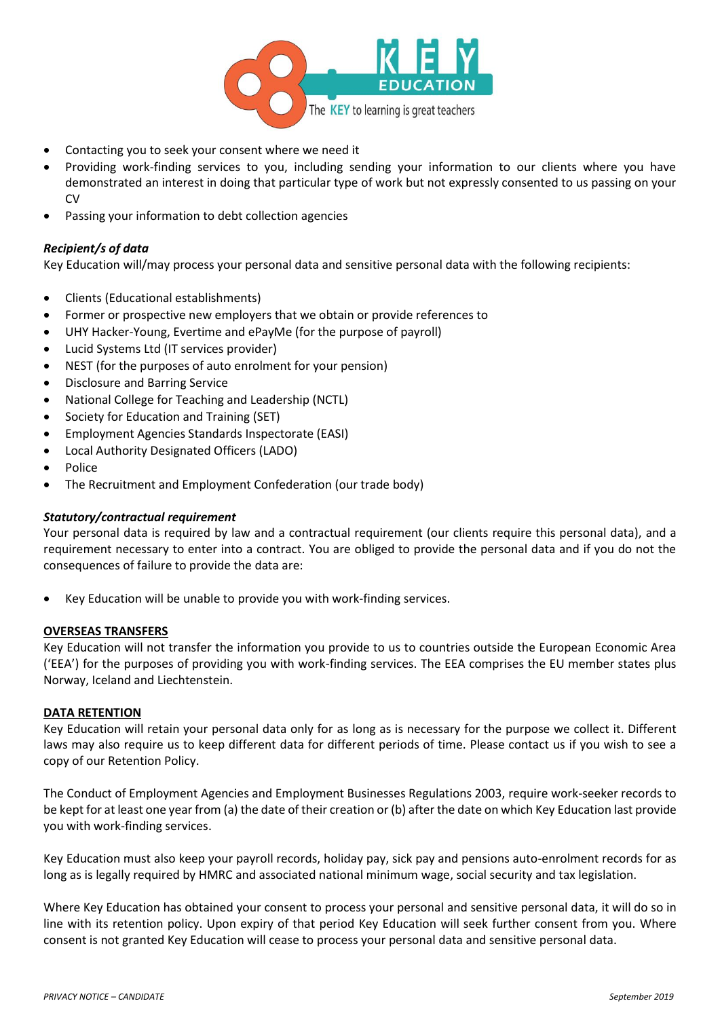

- Contacting you to seek your consent where we need it
- Providing work-finding services to you, including sending your information to our clients where you have demonstrated an interest in doing that particular type of work but not expressly consented to us passing on your CV
- Passing your information to debt collection agencies

# *Recipient/s of data*

Key Education will/may process your personal data and sensitive personal data with the following recipients:

- Clients (Educational establishments)
- Former or prospective new employers that we obtain or provide references to
- UHY Hacker-Young, Evertime and ePayMe (for the purpose of payroll)
- Lucid Systems Ltd (IT services provider)
- NEST (for the purposes of auto enrolment for your pension)
- Disclosure and Barring Service
- National College for Teaching and Leadership (NCTL)
- Society for Education and Training (SET)
- Employment Agencies Standards Inspectorate (EASI)
- Local Authority Designated Officers (LADO)
- Police
- The Recruitment and Employment Confederation (our trade body)

# *Statutory/contractual requirement*

Your personal data is required by law and a contractual requirement (our clients require this personal data), and a requirement necessary to enter into a contract. You are obliged to provide the personal data and if you do not the consequences of failure to provide the data are:

Key Education will be unable to provide you with work-finding services.

# **OVERSEAS TRANSFERS**

Key Education will not transfer the information you provide to us to countries outside the European Economic Area ('EEA') for the purposes of providing you with work-finding services. The EEA comprises the EU member states plus Norway, Iceland and Liechtenstein.

### **DATA RETENTION**

Key Education will retain your personal data only for as long as is necessary for the purpose we collect it. Different laws may also require us to keep different data for different periods of time. Please contact us if you wish to see a copy of our Retention Policy.

The Conduct of Employment Agencies and Employment Businesses Regulations 2003, require work-seeker records to be kept for at least one year from (a) the date of their creation or (b) after the date on which Key Education last provide you with work-finding services.

Key Education must also keep your payroll records, holiday pay, sick pay and pensions auto-enrolment records for as long as is legally required by HMRC and associated national minimum wage, social security and tax legislation.

Where Key Education has obtained your consent to process your personal and sensitive personal data, it will do so in line with its retention policy. Upon expiry of that period Key Education will seek further consent from you. Where consent is not granted Key Education will cease to process your personal data and sensitive personal data.